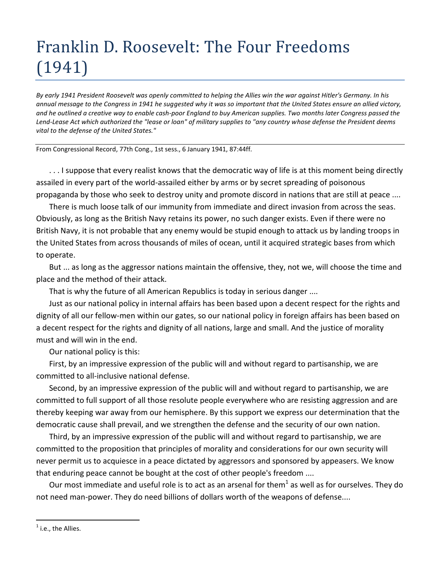## Franklin D. Roosevelt: The Four Freedoms (1941)

*By early 1941 President Roosevelt was openly committed to helping the Allies win the war against Hitler's Germany. In his annual message to the Congress in 1941 he suggested why it was so important that the United States ensure an allied victory, and he outlined a creative way to enable cash-poor England to buy American supplies. Two months later Congress passed the Lend-Lease Act which authorized the "lease or loan" of military supplies to "any country whose defense the President deems vital to the defense of the United States."*

From Congressional Record, 77th Cong., 1st sess., 6 January 1941, 87:44ff.

... I suppose that every realist knows that the democratic way of life is at this moment being directly assailed in every part of the world-assailed either by arms or by secret spreading of poisonous propaganda by those who seek to destroy unity and promote discord in nations that are still at peace ....

There is much loose talk of our immunity from immediate and direct invasion from across the seas. Obviously, as long as the British Navy retains its power, no such danger exists. Even if there were no British Navy, it is not probable that any enemy would be stupid enough to attack us by landing troops in the United States from across thousands of miles of ocean, until it acquired strategic bases from which to operate.

But ... as long as the aggressor nations maintain the offensive, they, not we, will choose the time and place and the method of their attack.

That is why the future of all American Republics is today in serious danger ....

Just as our national policy in internal affairs has been based upon a decent respect for the rights and dignity of all our fellow-men within our gates, so our national policy in foreign affairs has been based on a decent respect for the rights and dignity of all nations, large and small. And the justice of morality must and will win in the end.

Our national policy is this:

First, by an impressive expression of the public will and without regard to partisanship, we are committed to all-inclusive national defense.

Second, by an impressive expression of the public will and without regard to partisanship, we are committed to full support of all those resolute people everywhere who are resisting aggression and are thereby keeping war away from our hemisphere. By this support we express our determination that the democratic cause shall prevail, and we strengthen the defense and the security of our own nation.

Third, by an impressive expression of the public will and without regard to partisanship, we are committed to the proposition that principles of morality and considerations for our own security will never permit us to acquiesce in a peace dictated by aggressors and sponsored by appeasers. We know that enduring peace cannot be bought at the cost of other people's freedom ....

Our most immediate and useful role is to act as an arsenal for them<sup>1</sup> as well as for ourselves. They do not need man-power. They do need billions of dollars worth of the weapons of defense....

 $\overline{a}$ 

 $^1$  i.e., the Allies.